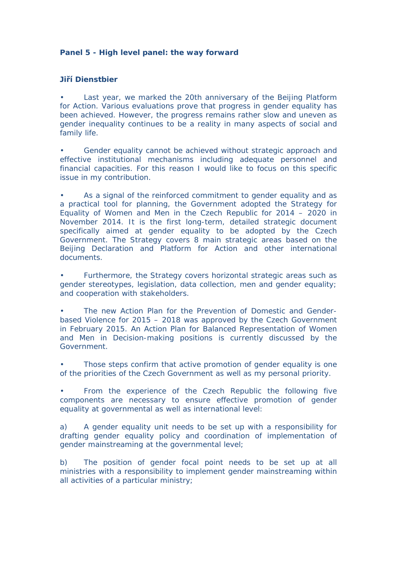## **Panel 5 - High level panel: the way forward**

## **Jiří Dienstbier**

Last year, we marked the 20th anniversary of the Beijing Platform for Action. Various evaluations prove that progress in gender equality has been achieved. However, the progress remains rather slow and uneven as gender inequality continues to be a reality in many aspects of social and family life.

Gender equality cannot be achieved without strategic approach and effective institutional mechanisms including adequate personnel and financial capacities. For this reason I would like to focus on this specific issue in my contribution.

• As a signal of the reinforced commitment to gender equality and as a practical tool for planning, the Government adopted the Strategy for Equality of Women and Men in the Czech Republic for 2014 – 2020 in November 2014. It is the first long-term, detailed strategic document specifically aimed at gender equality to be adopted by the Czech Government. The Strategy covers 8 main strategic areas based on the Beijing Declaration and Platform for Action and other international documents.

• Furthermore, the Strategy covers horizontal strategic areas such as gender stereotypes, legislation, data collection, men and gender equality; and cooperation with stakeholders.

The new Action Plan for the Prevention of Domestic and Genderbased Violence for 2015 – 2018 was approved by the Czech Government in February 2015. An Action Plan for Balanced Representation of Women and Men in Decision-making positions is currently discussed by the Government.

Those steps confirm that active promotion of gender equality is one of the priorities of the Czech Government as well as my personal priority.

• From the experience of the Czech Republic the following five components are necessary to ensure effective promotion of gender equality at governmental as well as international level:

a) A gender equality unit needs to be set up with a responsibility for drafting gender equality policy and coordination of implementation of gender mainstreaming at the governmental level;

b) The position of gender focal point needs to be set up at all ministries with a responsibility to implement gender mainstreaming within all activities of a particular ministry;